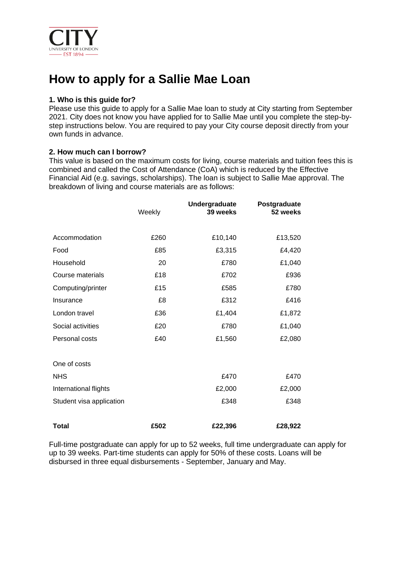

# **How to apply for a Sallie Mae Loan**

#### **1. Who is this guide for?**

Please use this guide to apply for a Sallie Mae loan to study at City starting from September 2021. City does not know you have applied for to Sallie Mae until you complete the step-bystep instructions below. You are required to pay your City course deposit directly from your own funds in advance.

### **2. How much can I borrow?**

This value is based on the maximum costs for living, course materials and tuition fees this is combined and called the Cost of Attendance (CoA) which is reduced by the Effective Financial Aid (e.g. savings, scholarships). The loan is subject to Sallie Mae approval. The breakdown of living and course materials are as follows:

|                          | Weekly | Undergraduate<br>39 weeks | Postgraduate<br>52 weeks |
|--------------------------|--------|---------------------------|--------------------------|
| Accommodation            | £260   | £10,140                   | £13,520                  |
| Food                     | £85    | £3,315                    | £4,420                   |
| Household                | 20     | £780                      | £1,040                   |
| Course materials         | £18    | £702                      | £936                     |
| Computing/printer        | £15    | £585                      | £780                     |
| Insurance                | £8     | £312                      | £416                     |
| London travel            | £36    | £1,404                    | £1,872                   |
| Social activities        | £20    | £780                      | £1,040                   |
| Personal costs           | £40    | £1,560                    | £2,080                   |
| One of costs             |        |                           |                          |
| <b>NHS</b>               |        | £470                      | £470                     |
| International flights    |        | £2,000                    | £2,000                   |
| Student visa application |        | £348                      | £348                     |
| Total                    | £502   | £22,396                   | £28,922                  |

Full-time postgraduate can apply for up to 52 weeks, full time undergraduate can apply for up to 39 weeks. Part-time students can apply for 50% of these costs. Loans will be disbursed in three equal disbursements - September, January and May.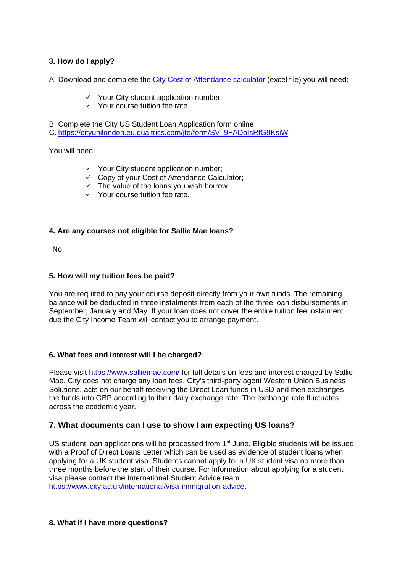## **3. How do I apply?**

A. Download and complete the City Cost of Attendance calculator (excel file) you will need:

- $\checkmark$  Your City student application number
- ✓ Your course tuition fee rate.

B. Complete the City US Student Loan Application form online

C. [https://cityunilondon.eu.qualtrics.com/jfe/form/SV\\_9FADoIsRfG9KsiW](https://cityunilondon.eu.qualtrics.com/jfe/form/SV_9FADoIsRfG9KsiW)

You will need:

- $\checkmark$  Your City student application number;
- ✓ Copy of your Cost of Attendance Calculator;
- $\checkmark$  The value of the loans you wish borrow
- ✓ Your course tuition fee rate.

#### **4. Are any courses not eligible for Sallie Mae loans?**

No.

#### **5. How will my tuition fees be paid?**

You are required to pay your course deposit directly from your own funds. The remaining balance will be deducted in three instalments from each of the three loan disbursements in September, January and May. If your loan does not cover the entire tuition fee instalment due the City Income Team will contact you to arrange payment.

#### **6. What fees and interest will I be charged?**

Please visit<https://www.salliemae.com/> for full details on fees and interest charged by Sallie Mae. City does not charge any loan fees, City's third-party agent Western Union Business Solutions, acts on our behalf receiving the Direct Loan funds in USD and then exchanges the funds into GBP according to their daily exchange rate. The exchange rate fluctuates across the academic year.

## **7. What documents can I use to show I am expecting US loans?**

US student loan applications will be processed from  $1<sup>st</sup>$  June. Eligible students will be issued with a Proof of Direct Loans Letter which can be used as evidence of student loans when applying for a UK student visa. Students cannot apply for a UK student visa no more than three months before the start of their course. For information about applying for a student visa please contact the International Student Advice team [https://www.city.ac.uk/international/visa-immigration-advice.](https://www.city.ac.uk/international/visa-immigration-advice)

#### **8. What if I have more questions?**